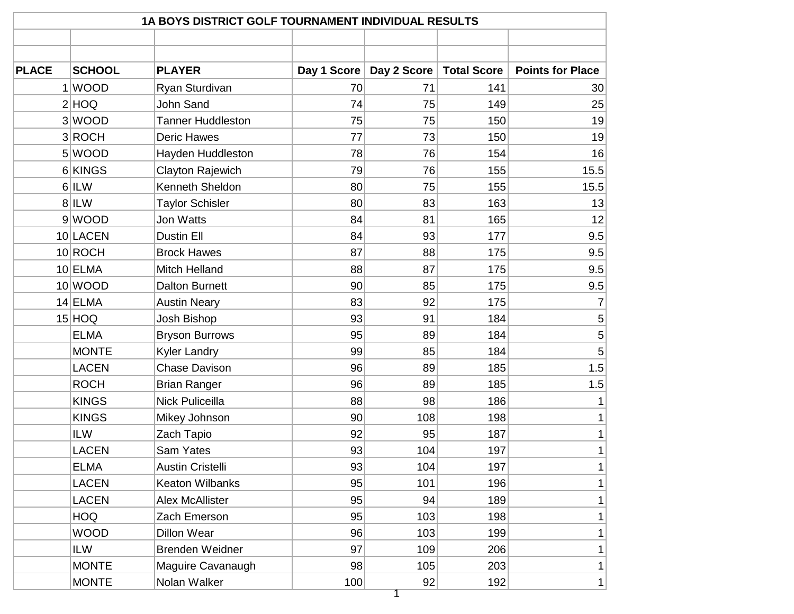| <b>PLACE</b><br>2 HOQ | <b>SCHOOL</b><br>1 WOOD | <b>PLAYER</b>            |             |             |                    |                         |
|-----------------------|-------------------------|--------------------------|-------------|-------------|--------------------|-------------------------|
|                       |                         |                          |             |             |                    |                         |
|                       |                         |                          | Day 1 Score | Day 2 Score | <b>Total Score</b> | <b>Points for Place</b> |
|                       |                         | Ryan Sturdivan           | 70          | 71          | 141                | 30 <sup>2</sup>         |
|                       |                         | <b>John Sand</b>         | 74          | 75          | 149                | 25                      |
|                       | 3 WOOD                  | <b>Tanner Huddleston</b> | 75          | 75          | 150                | 19                      |
|                       | 3ROCH                   | <b>Deric Hawes</b>       | 77          | 73          | 150                | 19                      |
|                       | 5 WOOD                  | Hayden Huddleston        | 78          | 76          | 154                | 16                      |
|                       | 6 KINGS                 | Clayton Rajewich         | 79          | 76          | 155                | 15.5                    |
| $6$  ILW              |                         | Kenneth Sheldon          | 80          | 75          | 155                | 15.5                    |
| $8$  ILW              |                         | <b>Taylor Schisler</b>   | 80          | 83          | 163                | 13                      |
|                       | 9 WOOD                  | Jon Watts                | 84          | 81          | 165                | 12                      |
| 10 LACEN              |                         | Dustin Ell               | 84          | 93          | 177                | 9.5                     |
| 10 ROCH               |                         | <b>Brock Hawes</b>       | 87          | 88          | 175                | 9.5                     |
| $10$ ELMA             |                         | <b>Mitch Helland</b>     | 88          | 87          | 175                | 9.5                     |
| 10 WOOD               |                         | <b>Dalton Burnett</b>    | 90          | 85          | 175                | 9.5                     |
| $14$ ELMA             |                         | <b>Austin Neary</b>      | 83          | 92          | 175                | 7                       |
| $15$ $HOQ$            |                         | Josh Bishop              | 93          | 91          | 184                | 5                       |
|                       | <b>ELMA</b>             | <b>Bryson Burrows</b>    | 95          | 89          | 184                | 5                       |
|                       | <b>MONTE</b>            | <b>Kyler Landry</b>      | 99          | 85          | 184                | 5                       |
|                       | <b>LACEN</b>            | <b>Chase Davison</b>     | 96          | 89          | 185                | 1.5                     |
|                       | <b>ROCH</b>             | <b>Brian Ranger</b>      | 96          | 89          | 185                | 1.5                     |
|                       | <b>KINGS</b>            | <b>Nick Puliceilla</b>   | 88          | 98          | 186                |                         |
|                       | <b>KINGS</b>            | Mikey Johnson            | 90          | 108         | 198                | $\mathbf{1}$            |
| <b>ILW</b>            |                         | Zach Tapio               | 92          | 95          | 187                | 1                       |
|                       | <b>LACEN</b>            | Sam Yates                | 93          | 104         | 197                | 1                       |
|                       | <b>ELMA</b>             | <b>Austin Cristelli</b>  | 93          | 104         | 197                | 1                       |
|                       | <b>LACEN</b>            | <b>Keaton Wilbanks</b>   | 95          | 101         | 196                | 1                       |
|                       | <b>LACEN</b>            | <b>Alex McAllister</b>   | 95          | 94          | 189                | 1                       |
|                       | <b>HOQ</b>              | Zach Emerson             | 95          | 103         | 198                | 1                       |
|                       | <b>WOOD</b>             | Dillon Wear              | 96          | 103         | 199                | $\mathbf{1}$            |
| <b>ILW</b>            |                         | <b>Brenden Weidner</b>   | 97          | 109         | 206                | 1                       |
|                       | <b>MONTE</b>            | Maguire Cavanaugh        | 98          | 105         | 203                | 1                       |
|                       | <b>MONTE</b>            | Nolan Walker             | 100         | 92          | 192                | 1                       |